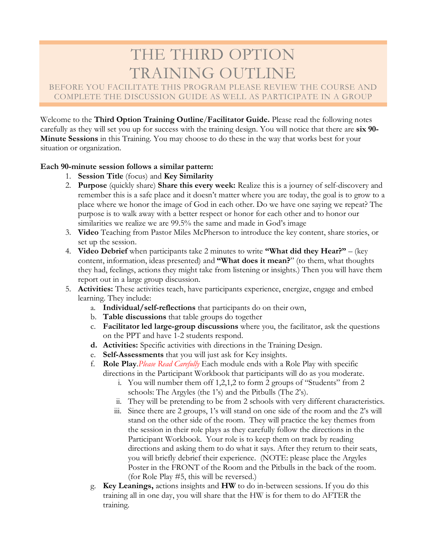# THE THIRD OPTION

## TRAINING OUTLINE<br>BEFORE YOU FACILITATE THIS PROGRAM PLEASE REVIEW THE COURSE AND COMPLETE THE DISCUSSION GUIDE AS WELL AS PARTICIPATE IN A GROUP

Welcome to the **Third Option Training Outline**/**Facilitator Guide.** Please read the following notes carefully as they will set you up for success with the training design. You will notice that there are **six 90- Minute Sessions** in this Training. You may choose to do these in the way that works best for your situation or organization.

#### **Each 90-minute session follows a similar pattern:**

- 1. **Session Title** (focus) and **Key Similarity**
- 2. **Purpose** (quickly share) **Share this every week:** Realize this is a journey of self-discovery and remember this is a safe place and it doesn't matter where you are today, the goal is to grow to a place where we honor the image of God in each other. Do we have one saying we repeat? The purpose is to walk away with a better respect or honor for each other and to honor our similarities we realize we are 99.5% the same and made in God's image
- 3. **Video** Teaching from Pastor Miles McPherson to introduce the key content, share stories, or set up the session.
- 4. **Video Debrief** when participants take 2 minutes to write **"What did they Hear?"** (key content, information, ideas presented) and **"What does it mean?**" (to them, what thoughts they had, feelings, actions they might take from listening or insights.) Then you will have them report out in a large group discussion.
- 5. **Activities:** These activities teach, have participants experience, energize, engage and embed learning. They include:
	- a. **Individual/self-reflections** that participants do on their own,
	- b. **Table discussions** that table groups do together
	- c. **Facilitator led large-group discussions** where you, the facilitator, ask the questions on the PPT and have 1-2 students respond.
	- **d. Activities:** Specific activities with directions in the Training Design.
	- e. **Self-Assessments** that you will just ask for Key insights.
	- f. **Role Play**.*Please Read Carefully* Each module ends with a Role Play with specific directions in the Participant Workbook that participants will do as you moderate.
		- i. You will number them off 1,2,1,2 to form 2 groups of "Students" from 2 schools: The Argyles (the 1's) and the Pitbulls (The 2's).
		- ii. They will be pretending to be from 2 schools with very different characteristics.
		- iii. Since there are 2 groups, 1's will stand on one side of the room and the 2's will stand on the other side of the room. They will practice the key themes from the session in their role plays as they carefully follow the directions in the Participant Workbook. Your role is to keep them on track by reading directions and asking them to do what it says. After they return to their seats, you will briefly debrief their experience. (NOTE: please place the Argyles Poster in the FRONT of the Room and the Pitbulls in the back of the room. (for Role Play #5, this will be reversed.)
	- g. **Key Leanings,** actions insights and **HW** to do in-between sessions. If you do this training all in one day, you will share that the HW is for them to do AFTER the training.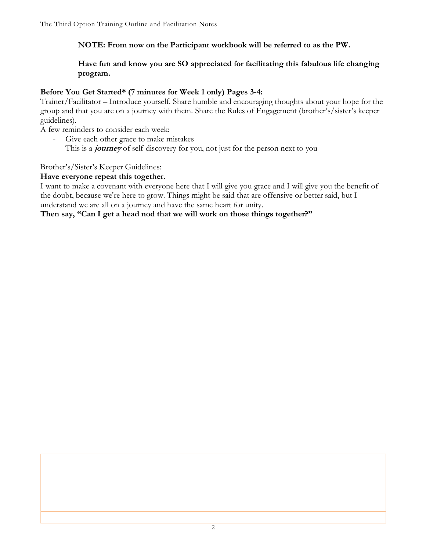#### **NOTE: From now on the Participant workbook will be referred to as the PW.**

#### **Have fun and know you are SO appreciated for facilitating this fabulous life changing program.**

#### **Before You Get Started\* (7 minutes for Week 1 only) Pages 3-4:**

Trainer/Facilitator – Introduce yourself. Share humble and encouraging thoughts about your hope for the group and that you are on a journey with them. Share the Rules of Engagement (brother's/sister's keeper guidelines).

A few reminders to consider each week:

- Give each other grace to make mistakes
- This is a **journey** of self-discovery for you, not just for the person next to you

#### Brother's/Sister's Keeper Guidelines:

#### **Have everyone repeat this together.**

I want to make a covenant with everyone here that I will give you grace and I will give you the benefit of the doubt, because we're here to grow. Things might be said that are offensive or better said, but I understand we are all on a journey and have the same heart for unity.

#### **Then say, "Can I get a head nod that we will work on those things together?"**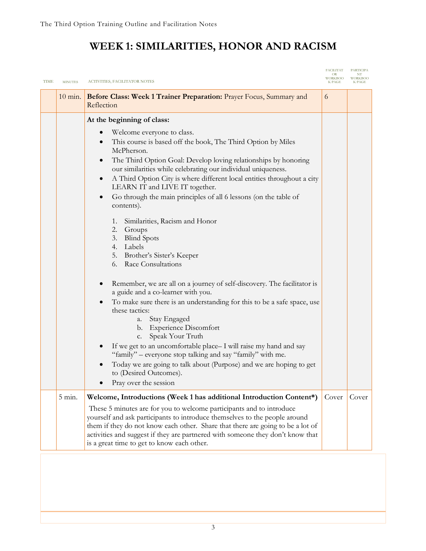## **WEEK 1: SIMILARITIES, HONOR AND RACISM**

| <b>TIME</b> | <b>MINUTES</b>    | ACTIVITIES, FACILITATOR NOTES                                                                                                                                                                                                                                                                                                                                                                                                                                                                                                                                                                                                                                                                                                                                                                                                                                                                                                                                                                                                                                                                                                                                                                                                                           | <b>FACILITAT</b><br><b>OR</b><br><b>WORKBOO</b> | PARTICIPA<br>NT<br><b>WORKBOO</b> |
|-------------|-------------------|---------------------------------------------------------------------------------------------------------------------------------------------------------------------------------------------------------------------------------------------------------------------------------------------------------------------------------------------------------------------------------------------------------------------------------------------------------------------------------------------------------------------------------------------------------------------------------------------------------------------------------------------------------------------------------------------------------------------------------------------------------------------------------------------------------------------------------------------------------------------------------------------------------------------------------------------------------------------------------------------------------------------------------------------------------------------------------------------------------------------------------------------------------------------------------------------------------------------------------------------------------|-------------------------------------------------|-----------------------------------|
|             | $10 \text{ min.}$ | Before Class: Week 1 Trainer Preparation: Prayer Focus, Summary and<br>Reflection                                                                                                                                                                                                                                                                                                                                                                                                                                                                                                                                                                                                                                                                                                                                                                                                                                                                                                                                                                                                                                                                                                                                                                       | 6                                               |                                   |
|             |                   | At the beginning of class:<br>Welcome everyone to class.<br>This course is based off the book, The Third Option by Miles<br>$\bullet$<br>McPherson.<br>The Third Option Goal: Develop loving relationships by honoring<br>$\bullet$<br>our similarities while celebrating our individual uniqueness.<br>A Third Option City is where different local entities throughout a city<br>$\bullet$<br>LEARN IT and LIVE IT together.<br>Go through the main principles of all 6 lessons (on the table of<br>$\bullet$<br>contents).<br>Similarities, Racism and Honor<br>1.<br>2. Groups<br><b>Blind Spots</b><br>3.<br>4. Labels<br>5. Brother's Sister's Keeper<br>6. Race Consultations<br>Remember, we are all on a journey of self-discovery. The facilitator is<br>a guide and a co-learner with you.<br>To make sure there is an understanding for this to be a safe space, use<br>$\bullet$<br>these tactics:<br>Stay Engaged<br>a.<br>b. Experience Discomfort<br>Speak Your Truth<br>c.<br>If we get to an uncomfortable place-I will raise my hand and say<br>"family" – everyone stop talking and say "family" with me.<br>Today we are going to talk about (Purpose) and we are hoping to get<br>to (Desired Outcomes).<br>Pray over the session |                                                 |                                   |
|             | $5 \text{ min.}$  | Welcome, Introductions (Week 1 has additional Introduction Content*)<br>These 5 minutes are for you to welcome participants and to introduce<br>yourself and ask participants to introduce themselves to the people around<br>them if they do not know each other. Share that there are going to be a lot of<br>activities and suggest if they are partnered with someone they don't know that<br>is a great time to get to know each other.                                                                                                                                                                                                                                                                                                                                                                                                                                                                                                                                                                                                                                                                                                                                                                                                            | Cover                                           | Cover                             |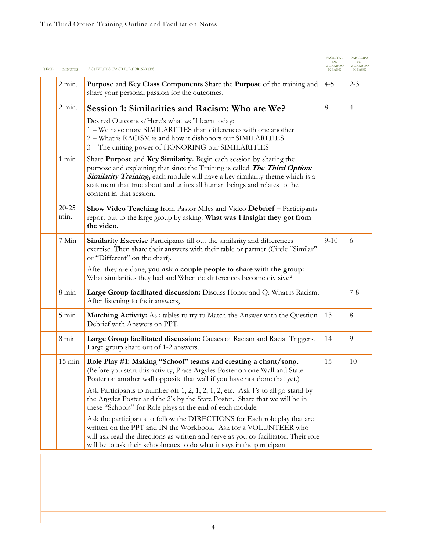| <b>TIME</b> | <b>MINUTES</b>    | ACTIVITIES, FACILITATOR NOTES                                                                                                                                                                                                                                                                                                                                                                  | <b>FACILITAT</b><br><b>7ORKBOO</b><br>K PAGE | <b>PARTICIPA</b><br><b>WORKBOO</b><br><b>K PAGE</b> |
|-------------|-------------------|------------------------------------------------------------------------------------------------------------------------------------------------------------------------------------------------------------------------------------------------------------------------------------------------------------------------------------------------------------------------------------------------|----------------------------------------------|-----------------------------------------------------|
|             | $2$ min.          | Purpose and Key Class Components Share the Purpose of the training and<br>share your personal passion for the outcomes.                                                                                                                                                                                                                                                                        | $4 - 5$                                      | $2 - 3$                                             |
|             | $2$ min.          | Session 1: Similarities and Racism: Who are We?                                                                                                                                                                                                                                                                                                                                                | 8                                            | 4                                                   |
|             |                   | Desired Outcomes/Here's what we'll learn today:<br>1 – We have more SIMILARITIES than differences with one another<br>2 - What is RACISM is and how it dishonors our SIMILARITIES<br>3 – The uniting power of HONORING our SIMILARITIES                                                                                                                                                        |                                              |                                                     |
|             | $1 \text{ min}$   | Share Purpose and Key Similarity. Begin each session by sharing the<br>purpose and explaining that since the Training is called <b>The Third Option:</b><br>Similarity Training, each module will have a key similarity theme which is a<br>statement that true about and unites all human beings and relates to the<br>content in that session.                                               |                                              |                                                     |
|             | $20 - 25$<br>min. | Show Video Teaching from Pastor Miles and Video Debrief - Participants<br>report out to the large group by asking: What was 1 insight they got from<br>the video.                                                                                                                                                                                                                              |                                              |                                                     |
|             | 7 Min             | Similarity Exercise Participants fill out the similarity and differences<br>exercise. Then share their answers with their table or partner (Circle "Similar"<br>or "Different" on the chart).                                                                                                                                                                                                  | $9-10$                                       | 6                                                   |
|             |                   | After they are done, you ask a couple people to share with the group:<br>What similarities they had and When do differences become divisive?                                                                                                                                                                                                                                                   |                                              |                                                     |
|             | $8 \text{ min}$   | Large Group facilitated discussion: Discuss Honor and Q: What is Racism.<br>After listening to their answers,                                                                                                                                                                                                                                                                                  |                                              | $7 - 8$                                             |
|             | $5 \text{ min}$   | <b>Matching Activity:</b> Ask tables to try to Match the Answer with the Question<br>Debrief with Answers on PPT.                                                                                                                                                                                                                                                                              | 13                                           | 8                                                   |
|             | $8 \text{ min}$   | Large Group facilitated discussion: Causes of Racism and Racial Triggers.<br>Large group share out of 1-2 answers.                                                                                                                                                                                                                                                                             | 14                                           | 9                                                   |
|             | $15 \text{ min}$  | Role Play #1: Making "School" teams and creating a chant/song.<br>(Before you start this activity, Place Argyles Poster on one Wall and State<br>Poster on another wall opposite that wall if you have not done that yet.)<br>Ask Participants to number off 1, 2, 1, 2, 1, 2, etc. Ask 1's to all go stand by<br>the Argyles Poster and the 2's by the State Poster. Share that we will be in | 15                                           | 10                                                  |
|             |                   | these "Schools" for Role plays at the end of each module.<br>Ask the participants to follow the DIRECTIONS for Each role play that are<br>written on the PPT and IN the Workbook. Ask for a VOLUNTEER who<br>will ask read the directions as written and serve as you co-facilitator. Their role<br>will be to ask their schoolmates to do what it says in the participant                     |                                              |                                                     |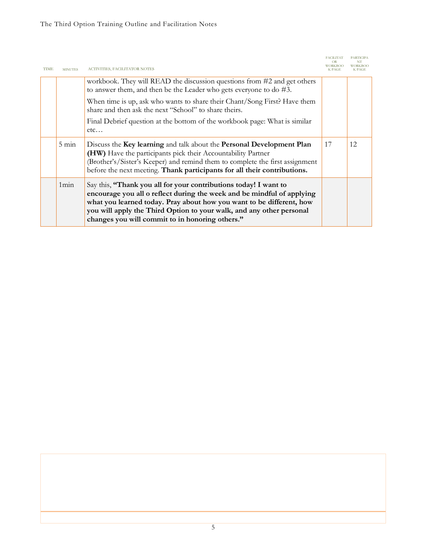| <b>TIME</b> | <b>MINUTES</b>  | ACTIVITIES, FACILITATOR NOTES                                                                                                                                                                                                                                                                                                                 | <b>FACILITAT</b><br><b>WORKBOO</b><br><b>K PAGE</b> | <b>PARTICIPA</b><br><b>WORKBOO</b><br>K PAGE |
|-------------|-----------------|-----------------------------------------------------------------------------------------------------------------------------------------------------------------------------------------------------------------------------------------------------------------------------------------------------------------------------------------------|-----------------------------------------------------|----------------------------------------------|
|             |                 | workbook. They will READ the discussion questions from #2 and get others<br>to answer them, and then be the Leader who gets everyone to do #3.                                                                                                                                                                                                |                                                     |                                              |
|             |                 | When time is up, ask who wants to share their Chant/Song First? Have them<br>share and then ask the next "School" to share theirs.                                                                                                                                                                                                            |                                                     |                                              |
|             |                 | Final Debrief question at the bottom of the workbook page: What is similar<br>etc                                                                                                                                                                                                                                                             |                                                     |                                              |
|             | $5 \text{ min}$ | Discuss the Key learning and talk about the Personal Development Plan<br>(HW) Have the participants pick their Accountability Partner<br>(Brother's/Sister's Keeper) and remind them to complete the first assignment<br>before the next meeting. Thank participants for all their contributions.                                             | 17                                                  | 12                                           |
|             | 1min            | Say this, "Thank you all for your contributions today! I want to<br>encourage you all o reflect during the week and be mindful of applying<br>what you learned today. Pray about how you want to be different, how<br>you will apply the Third Option to your walk, and any other personal<br>changes you will commit to in honoring others." |                                                     |                                              |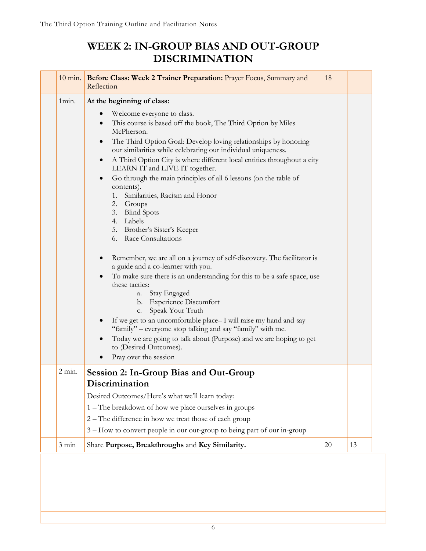## **WEEK 2: IN-GROUP BIAS AND OUT-GROUP DISCRIMINATION**

| $10 \text{ min.}$ | Before Class: Week 2 Trainer Preparation: Prayer Focus, Summary and<br>Reflection                                                                                                                                                                                                                                                                                                                                                                                                                                                                                                                                                                                                                                                                                                                                                                                                                                                                                                                                                                                                                                                                                                                                                        | 18 |    |
|-------------------|------------------------------------------------------------------------------------------------------------------------------------------------------------------------------------------------------------------------------------------------------------------------------------------------------------------------------------------------------------------------------------------------------------------------------------------------------------------------------------------------------------------------------------------------------------------------------------------------------------------------------------------------------------------------------------------------------------------------------------------------------------------------------------------------------------------------------------------------------------------------------------------------------------------------------------------------------------------------------------------------------------------------------------------------------------------------------------------------------------------------------------------------------------------------------------------------------------------------------------------|----|----|
| 1min.             | At the beginning of class:<br>Welcome everyone to class.<br>$\bullet$<br>This course is based off the book, The Third Option by Miles<br>$\bullet$<br>McPherson.<br>The Third Option Goal: Develop loving relationships by honoring<br>$\bullet$<br>our similarities while celebrating our individual uniqueness.<br>A Third Option City is where different local entities throughout a city<br>$\bullet$<br>LEARN IT and LIVE IT together.<br>Go through the main principles of all 6 lessons (on the table of<br>$\bullet$<br>contents).<br>1. Similarities, Racism and Honor<br>2. Groups<br>3. Blind Spots<br>4. Labels<br>5. Brother's Sister's Keeper<br>6. Race Consultations<br>Remember, we are all on a journey of self-discovery. The facilitator is<br>$\bullet$<br>a guide and a co-learner with you.<br>To make sure there is an understanding for this to be a safe space, use<br>$\bullet$<br>these tactics:<br>a. Stay Engaged<br>b. Experience Discomfort<br>Speak Your Truth<br>c.<br>If we get to an uncomfortable place-I will raise my hand and say<br>$\bullet$<br>"family" – everyone stop talking and say "family" with me.<br>Today we are going to talk about (Purpose) and we are hoping to get<br>$\bullet$ |    |    |
|                   | to (Desired Outcomes).<br>Pray over the session                                                                                                                                                                                                                                                                                                                                                                                                                                                                                                                                                                                                                                                                                                                                                                                                                                                                                                                                                                                                                                                                                                                                                                                          |    |    |
| $2$ min.          | Session 2: In-Group Bias and Out-Group<br>Discrimination<br>Desired Outcomes/Here's what we'll learn today:<br>1 – The breakdown of how we place ourselves in groups<br>2 – The difference in how we treat those of each group<br>3 - How to convert people in our out-group to being part of our in-group                                                                                                                                                                                                                                                                                                                                                                                                                                                                                                                                                                                                                                                                                                                                                                                                                                                                                                                               |    |    |
| $3 \text{ min}$   | Share Purpose, Breakthroughs and Key Similarity.                                                                                                                                                                                                                                                                                                                                                                                                                                                                                                                                                                                                                                                                                                                                                                                                                                                                                                                                                                                                                                                                                                                                                                                         | 20 | 13 |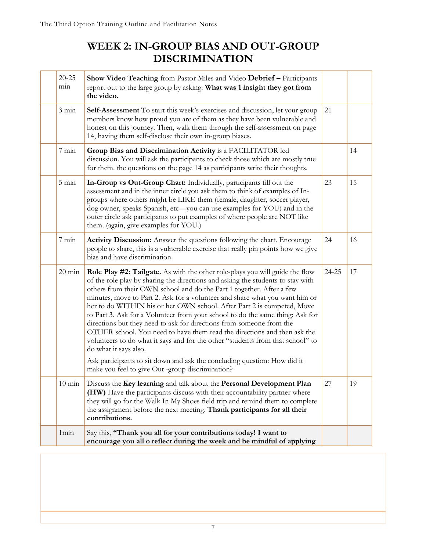## **WEEK 2: IN-GROUP BIAS AND OUT-GROUP DISCRIMINATION**

| $20 - 25$<br>min | Show Video Teaching from Pastor Miles and Video Debrief - Participants<br>report out to the large group by asking: What was 1 insight they got from<br>the video.                                                                                                                                                                                                                                                                                                                                                                                                                                                                                                                                                                                                                                                                                                                       |       |    |
|------------------|-----------------------------------------------------------------------------------------------------------------------------------------------------------------------------------------------------------------------------------------------------------------------------------------------------------------------------------------------------------------------------------------------------------------------------------------------------------------------------------------------------------------------------------------------------------------------------------------------------------------------------------------------------------------------------------------------------------------------------------------------------------------------------------------------------------------------------------------------------------------------------------------|-------|----|
| $3 \text{ min}$  | <b>Self-Assessment</b> To start this week's exercises and discussion, let your group<br>members know how proud you are of them as they have been vulnerable and<br>honest on this journey. Then, walk them through the self-assessment on page<br>14, having them self-disclose their own in-group biases.                                                                                                                                                                                                                                                                                                                                                                                                                                                                                                                                                                              | 21    |    |
| $7 \text{ min}$  | Group Bias and Discrimination Activity is a FACILITATOR led<br>discussion. You will ask the participants to check those which are mostly true<br>for them. the questions on the page 14 as participants write their thoughts.                                                                                                                                                                                                                                                                                                                                                                                                                                                                                                                                                                                                                                                           |       | 14 |
| $5 \text{ min}$  | In-Group vs Out-Group Chart: Individually, participants fill out the<br>assessment and in the inner circle you ask them to think of examples of In-<br>groups where others might be LIKE them (female, daughter, soccer player,<br>dog owner, speaks Spanish, etc-you can use examples for YOU) and in the<br>outer circle ask participants to put examples of where people are NOT like<br>them. (again, give examples for YOU.)                                                                                                                                                                                                                                                                                                                                                                                                                                                       | 23    | 15 |
| $7 \text{ min}$  | Activity Discussion: Answer the questions following the chart. Encourage<br>people to share, this is a vulnerable exercise that really pin points how we give<br>bias and have discrimination.                                                                                                                                                                                                                                                                                                                                                                                                                                                                                                                                                                                                                                                                                          | 24    | 16 |
| $20 \text{ min}$ | <b>Role Play #2: Tailgate.</b> As with the other role-plays you will guide the flow<br>of the role play by sharing the directions and asking the students to stay with<br>others from their OWN school and do the Part 1 together. After a few<br>minutes, move to Part 2. Ask for a volunteer and share what you want him or<br>her to do WITHIN his or her OWN school. After Part 2 is competed, Move<br>to Part 3. Ask for a Volunteer from your school to do the same thing: Ask for<br>directions but they need to ask for directions from someone from the<br>OTHER school. You need to have them read the directions and then ask the<br>volunteers to do what it says and for the other "students from that school" to<br>do what it says also.<br>Ask participants to sit down and ask the concluding question: How did it<br>make you feel to give Out -group discrimination? | 24-25 | 17 |
| $10 \text{ min}$ | Discuss the Key learning and talk about the Personal Development Plan<br>(HW) Have the participants discuss with their accountability partner where<br>they will go for the Walk In My Shoes field trip and remind them to complete<br>the assignment before the next meeting. Thank participants for all their<br>contributions.                                                                                                                                                                                                                                                                                                                                                                                                                                                                                                                                                       | 27    | 19 |
| 1min             | Say this, "Thank you all for your contributions today! I want to<br>encourage you all o reflect during the week and be mindful of applying                                                                                                                                                                                                                                                                                                                                                                                                                                                                                                                                                                                                                                                                                                                                              |       |    |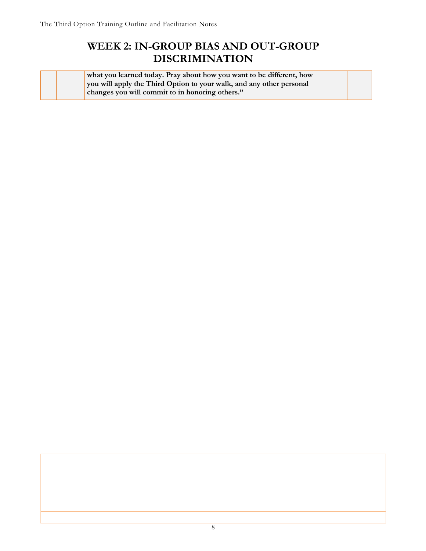## **WEEK 2: IN-GROUP BIAS AND OUT-GROUP DISCRIMINATION**

|  | what you learned today. Pray about how you want to be different, how |  |
|--|----------------------------------------------------------------------|--|
|  | you will apply the Third Option to your walk, and any other personal |  |
|  | changes you will commit to in honoring others."                      |  |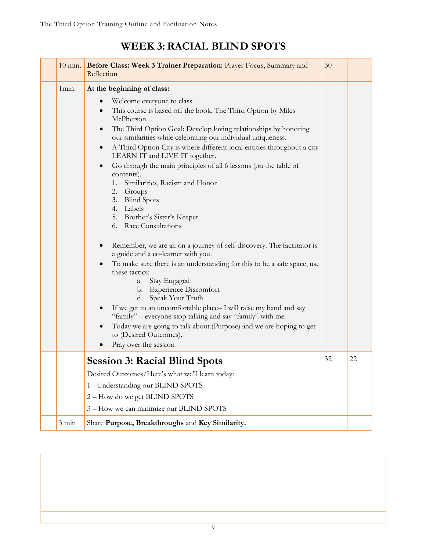#### 10 min. **Before Class: Week 3 Trainer Preparation:** Prayer Focus, Summary and Reflection 30 1min. **At the beginning of class:** • Welcome everyone to class. This course is based off the book, The Third Option by Miles McPherson. • The Third Option Goal: Develop loving relationships by honoring our similarities while celebrating our individual uniqueness. • A Third Option City is where different local entities throughout a city LEARN IT and LIVE IT together. • Go through the main principles of all 6 lessons (on the table of contents). 1. Similarities, Racism and Honor 2. Groups 3. Blind Spots 4. Labels 5. Brother's Sister's Keeper 6. Race Consultations • Remember, we are all on a journey of self-discovery. The facilitator is a guide and a co-learner with you. • To make sure there is an understanding for this to be a safe space, use these tactics: a. Stay Engaged b. Experience Discomfort c. Speak Your Truth • If we get to an uncomfortable place– I will raise my hand and say "family" – everyone stop talking and say "family" with me. • Today we are going to talk about (Purpose) and we are hoping to get to (Desired Outcomes). Pray over the session **Session 3: Racial Blind Spots**  Desired Outcomes/Here's what we'll learn today: 1 - Understanding our BLIND SPOTS 2 – How do we get BLIND SPOTS 3 – How we can minimize our BLIND SPOTS  $32 \quad 22$ 3 min Share **Purpose, Breakthroughs** and **Key Similarity.**

## **WEEK 3:RACIAL BLIND SPOTS**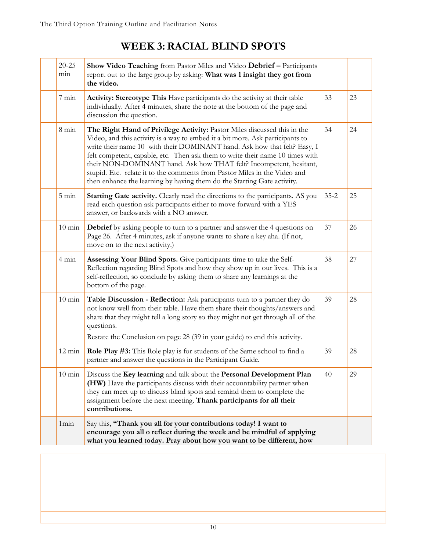## **WEEK 3:RACIAL BLIND SPOTS**

| $20 - 25$<br>min | Show Video Teaching from Pastor Miles and Video Debrief - Participants<br>report out to the large group by asking: What was 1 insight they got from<br>the video.                                                                                                                                                                                                                                                                                                                                                                                    |          |    |
|------------------|------------------------------------------------------------------------------------------------------------------------------------------------------------------------------------------------------------------------------------------------------------------------------------------------------------------------------------------------------------------------------------------------------------------------------------------------------------------------------------------------------------------------------------------------------|----------|----|
| $7 \text{ min}$  | Activity: Stereotype This Have participants do the activity at their table<br>individually. After 4 minutes, share the note at the bottom of the page and<br>discussion the question.                                                                                                                                                                                                                                                                                                                                                                | 33       | 23 |
| $8 \text{ min}$  | The Right Hand of Privilege Activity: Pastor Miles discussed this in the<br>Video, and this activity is a way to embed it a bit more. Ask participants to<br>write their name 10 with their DOMINANT hand. Ask how that felt? Easy, I<br>felt competent, capable, etc. Then ask them to write their name 10 times with<br>their NON-DOMINANT hand. Ask how THAT felt? Incompetent, hesitant,<br>stupid. Etc. relate it to the comments from Pastor Miles in the Video and<br>then enhance the learning by having them do the Starting Gate activity. | 34       | 24 |
| $5 \text{ min}$  | <b>Starting Gate activity.</b> Clearly read the directions to the participants. AS you<br>read each question ask participants either to move forward with a YES<br>answer, or backwards with a NO answer.                                                                                                                                                                                                                                                                                                                                            | $35 - 2$ | 25 |
| $10 \text{ min}$ | <b>Debrief</b> by asking people to turn to a partner and answer the 4 questions on<br>Page 26. After 4 minutes, ask if anyone wants to share a key aha. (If not,<br>move on to the next activity.)                                                                                                                                                                                                                                                                                                                                                   | 37       | 26 |
| $4 \text{ min}$  | Assessing Your Blind Spots. Give participants time to take the Self-<br>Reflection regarding Blind Spots and how they show up in our lives. This is a<br>self-reflection, so conclude by asking them to share any learnings at the<br>bottom of the page.                                                                                                                                                                                                                                                                                            | 38       | 27 |
| $10 \text{ min}$ | Table Discussion - Reflection: Ask participants turn to a partner they do<br>not know well from their table. Have them share their thoughts/answers and<br>share that they might tell a long story so they might not get through all of the<br>questions.<br>Restate the Conclusion on page 28 (39 in your guide) to end this activity.                                                                                                                                                                                                              | 39       | 28 |
| $12 \text{ min}$ | Role Play #3: This Role play is for students of the Same school to find a<br>partner and answer the questions in the Participant Guide.                                                                                                                                                                                                                                                                                                                                                                                                              | 39       | 28 |
| $10 \text{ min}$ | Discuss the Key learning and talk about the Personal Development Plan<br>(HW) Have the participants discuss with their accountability partner when<br>they can meet up to discuss blind spots and remind them to complete the<br>assignment before the next meeting. Thank participants for all their<br>contributions.                                                                                                                                                                                                                              | 40       | 29 |
| 1min             | Say this, "Thank you all for your contributions today! I want to<br>encourage you all o reflect during the week and be mindful of applying<br>what you learned today. Pray about how you want to be different, how                                                                                                                                                                                                                                                                                                                                   |          |    |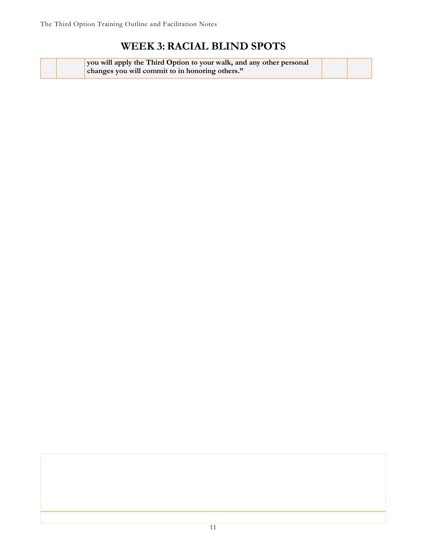## **WEEK 3:RACIAL BLIND SPOTS**

| you will apply the Third Option to your walk, and any other personal |  |
|----------------------------------------------------------------------|--|
| changes you will commit to in honoring others."                      |  |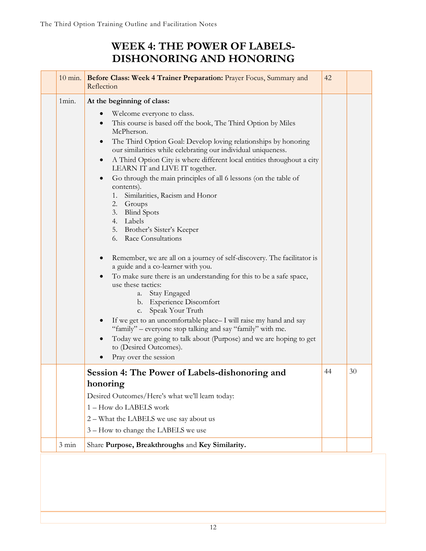## **WEEK 4: THE POWER OF LABELS-DISHONORING AND HONORING**

|                 | 10 min. Before Class: Week 4 Trainer Preparation: Prayer Focus, Summary and<br>Reflection                                                                                                                                                                                                                                                                                                                                                                                                                                                                                                                                                                                                                                                                                                                                                                                                                                                                                                                                                                                                                                                                                                                                                                                  | 42 |    |
|-----------------|----------------------------------------------------------------------------------------------------------------------------------------------------------------------------------------------------------------------------------------------------------------------------------------------------------------------------------------------------------------------------------------------------------------------------------------------------------------------------------------------------------------------------------------------------------------------------------------------------------------------------------------------------------------------------------------------------------------------------------------------------------------------------------------------------------------------------------------------------------------------------------------------------------------------------------------------------------------------------------------------------------------------------------------------------------------------------------------------------------------------------------------------------------------------------------------------------------------------------------------------------------------------------|----|----|
| 1min.           | At the beginning of class:<br>Welcome everyone to class.<br>$\bullet$<br>This course is based off the book, The Third Option by Miles<br>$\bullet$<br>McPherson.<br>The Third Option Goal: Develop loving relationships by honoring<br>$\bullet$<br>our similarities while celebrating our individual uniqueness.<br>A Third Option City is where different local entities throughout a city<br>$\bullet$<br>LEARN IT and LIVE IT together.<br>Go through the main principles of all 6 lessons (on the table of<br>$\bullet$<br>contents).<br>1.<br>Similarities, Racism and Honor<br>2. Groups<br>3. Blind Spots<br>4. Labels<br>5. Brother's Sister's Keeper<br>Race Consultations<br>6.<br>Remember, we are all on a journey of self-discovery. The facilitator is<br>a guide and a co-learner with you.<br>To make sure there is an understanding for this to be a safe space,<br>$\bullet$<br>use these tactics:<br>Stay Engaged<br>a.<br>b. Experience Discomfort<br>Speak Your Truth<br>c.<br>If we get to an uncomfortable place-I will raise my hand and say<br>"family" – everyone stop talking and say "family" with me.<br>Today we are going to talk about (Purpose) and we are hoping to get<br>$\bullet$<br>to (Desired Outcomes).<br>Pray over the session |    |    |
|                 | Session 4: The Power of Labels-dishonoring and<br>honoring<br>Desired Outcomes/Here's what we'll learn today:<br>1-How do LABELS work<br>2 - What the LABELS we use say about us<br>3 - How to change the LABELS we use                                                                                                                                                                                                                                                                                                                                                                                                                                                                                                                                                                                                                                                                                                                                                                                                                                                                                                                                                                                                                                                    | 44 | 30 |
| $3 \text{ min}$ | Share Purpose, Breakthroughs and Key Similarity.                                                                                                                                                                                                                                                                                                                                                                                                                                                                                                                                                                                                                                                                                                                                                                                                                                                                                                                                                                                                                                                                                                                                                                                                                           |    |    |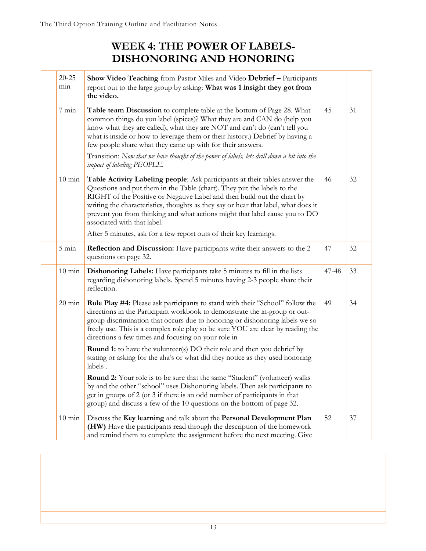## **WEEK 4: THE POWER OF LABELS-DISHONORING AND HONORING**

| $20 - 25$<br>min | Show Video Teaching from Pastor Miles and Video Debrief - Participants<br>report out to the large group by asking: What was 1 insight they got from<br>the video.                                                                                                                                                                                                                                                                     |       |    |
|------------------|---------------------------------------------------------------------------------------------------------------------------------------------------------------------------------------------------------------------------------------------------------------------------------------------------------------------------------------------------------------------------------------------------------------------------------------|-------|----|
| $7 \text{ min}$  | Table team Discussion to complete table at the bottom of Page 28. What<br>common things do you label (spices)? What they are and CAN do (help you<br>know what they are called), what they are NOT and can't do (can't tell you<br>what is inside or how to leverage them or their history.) Debrief by having a<br>few people share what they came up with for their answers.                                                        | 45    | 31 |
|                  | Transition: Now that we have thought of the power of labels, lets drill down a bit into the<br>impact of labeling PEOPLE.                                                                                                                                                                                                                                                                                                             |       |    |
| $10 \text{ min}$ | Table Activity Labeling people: Ask participants at their tables answer the<br>Questions and put them in the Table (chart). They put the labels to the<br>RIGHT of the Positive or Negative Label and then build out the chart by<br>writing the characteristics, thoughts as they say or hear that label, what does it<br>prevent you from thinking and what actions might that label cause you to DO<br>associated with that label. | 46    | 32 |
|                  | After 5 minutes, ask for a few report outs of their key learnings.                                                                                                                                                                                                                                                                                                                                                                    |       |    |
| $5 \text{ min}$  | <b>Reflection and Discussion:</b> Have participants write their answers to the 2<br>questions on page 32.                                                                                                                                                                                                                                                                                                                             | 47    | 32 |
| $10 \text{ min}$ | Dishonoring Labels: Have participants take 5 minutes to fill in the lists<br>regarding dishonoring labels. Spend 5 minutes having 2-3 people share their<br>reflection.                                                                                                                                                                                                                                                               | 47-48 | 33 |
| $20 \text{ min}$ | Role Play #4: Please ask participants to stand with their "School" follow the<br>directions in the Participant workbook to demonstrate the in-group or out-<br>group discrimination that occurs due to honoring or dishonoring labels we so<br>freely use. This is a complex role play so be sure YOU are clear by reading the<br>directions a few times and focusing on your role in                                                 | 49    | 34 |
|                  | <b>Round 1:</b> to have the volunteer(s) DO their role and then you debrief by<br>stating or asking for the aha's or what did they notice as they used honoring<br>labels.                                                                                                                                                                                                                                                            |       |    |
|                  | <b>Round 2:</b> Your role is to be sure that the same "Student" (volunteer) walks<br>by and the other "school" uses Dishonoring labels. Then ask participants to<br>get in groups of 2 (or 3 if there is an odd number of participants in that<br>group) and discuss a few of the 10 questions on the bottom of page 32.                                                                                                              |       |    |
| $10 \text{ min}$ | Discuss the Key learning and talk about the Personal Development Plan<br>(HW) Have the participants read through the description of the homework<br>and remind them to complete the assignment before the next meeting. Give                                                                                                                                                                                                          | 52    | 37 |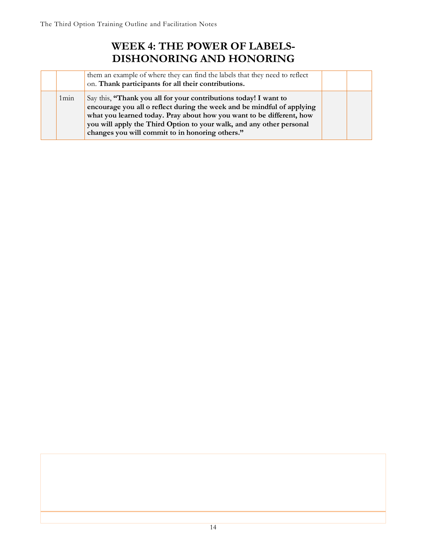## **WEEK 4: THE POWER OF LABELS-DISHONORING AND HONORING**

|                  | them an example of where they can find the labels that they need to reflect<br>on. Thank participants for all their contributions.                                                                                                                                                                                                            |  |
|------------------|-----------------------------------------------------------------------------------------------------------------------------------------------------------------------------------------------------------------------------------------------------------------------------------------------------------------------------------------------|--|
| 1 <sub>min</sub> | Say this, "Thank you all for your contributions today! I want to<br>encourage you all o reflect during the week and be mindful of applying<br>what you learned today. Pray about how you want to be different, how<br>you will apply the Third Option to your walk, and any other personal<br>changes you will commit to in honoring others." |  |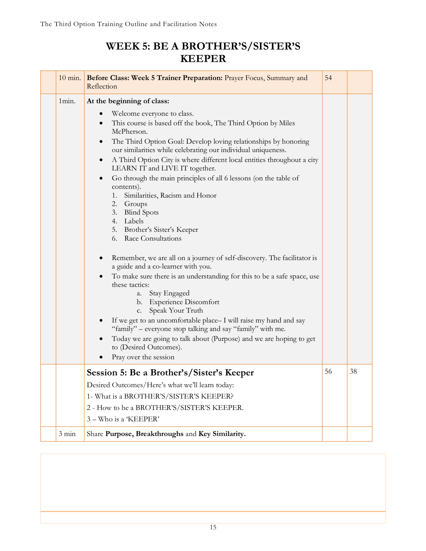## **WEEK 5: BE A BROTHER'S/SISTER'S KEEPER**

|                 | 10 min. Before Class: Week 5 Trainer Preparation: Prayer Focus, Summary and<br>Reflection                                                                                                                                                                                                                                                                                                                                                                                                                                                                                                                                                                                                                                                                                                                                                                                                                                                                                                                                                                                                                                                                                                                                                            | 54 |    |
|-----------------|------------------------------------------------------------------------------------------------------------------------------------------------------------------------------------------------------------------------------------------------------------------------------------------------------------------------------------------------------------------------------------------------------------------------------------------------------------------------------------------------------------------------------------------------------------------------------------------------------------------------------------------------------------------------------------------------------------------------------------------------------------------------------------------------------------------------------------------------------------------------------------------------------------------------------------------------------------------------------------------------------------------------------------------------------------------------------------------------------------------------------------------------------------------------------------------------------------------------------------------------------|----|----|
| 1min.           | At the beginning of class:<br>Welcome everyone to class.<br>$\bullet$<br>This course is based off the book, The Third Option by Miles<br>$\bullet$<br>McPherson.<br>The Third Option Goal: Develop loving relationships by honoring<br>$\bullet$<br>our similarities while celebrating our individual uniqueness.<br>A Third Option City is where different local entities throughout a city<br>$\bullet$<br>LEARN IT and LIVE IT together.<br>Go through the main principles of all 6 lessons (on the table of<br>$\bullet$<br>contents).<br>1. Similarities, Racism and Honor<br>2. Groups<br>3. Blind Spots<br>4. Labels<br>5. Brother's Sister's Keeper<br>6. Race Consultations<br>Remember, we are all on a journey of self-discovery. The facilitator is<br>a guide and a co-learner with you.<br>To make sure there is an understanding for this to be a safe space, use<br>these tactics:<br>a. Stay Engaged<br>b. Experience Discomfort<br>Speak Your Truth<br>c.<br>If we get to an uncomfortable place-I will raise my hand and say<br>$\bullet$<br>"family" – everyone stop talking and say "family" with me.<br>Today we are going to talk about (Purpose) and we are hoping to get<br>to (Desired Outcomes).<br>Pray over the session |    |    |
|                 | Session 5: Be a Brother's/Sister's Keeper<br>Desired Outcomes/Here's what we'll learn today:<br>1- What is a BROTHER'S/SISTER'S KEEPER?<br>2 - How to be a BROTHER'S/SISTER'S KEEPER.<br>3 - Who is a 'KEEPER'                                                                                                                                                                                                                                                                                                                                                                                                                                                                                                                                                                                                                                                                                                                                                                                                                                                                                                                                                                                                                                       | 56 | 38 |
| $3 \text{ min}$ | Share Purpose, Breakthroughs and Key Similarity.                                                                                                                                                                                                                                                                                                                                                                                                                                                                                                                                                                                                                                                                                                                                                                                                                                                                                                                                                                                                                                                                                                                                                                                                     |    |    |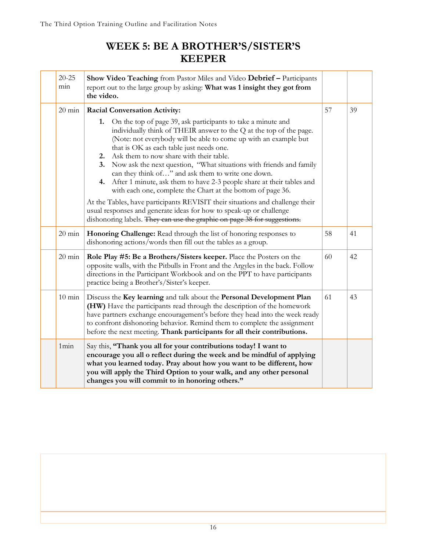## **WEEK 5: BE A BROTHER'S/SISTER'S KEEPER**

| $20 - 25$<br>min | Show Video Teaching from Pastor Miles and Video Debrief - Participants<br>report out to the large group by asking: What was 1 insight they got from<br>the video.                                                                                                                                                                                                                                                                                                                                                                                                                                                             |    |    |
|------------------|-------------------------------------------------------------------------------------------------------------------------------------------------------------------------------------------------------------------------------------------------------------------------------------------------------------------------------------------------------------------------------------------------------------------------------------------------------------------------------------------------------------------------------------------------------------------------------------------------------------------------------|----|----|
| $20 \text{ min}$ | <b>Racial Conversation Activity:</b><br>1. On the top of page 39, ask participants to take a minute and<br>individually think of THEIR answer to the Q at the top of the page.<br>(Note: not everybody will be able to come up with an example but<br>that is OK as each table just needs one.<br>Ask them to now share with their table.<br>2.<br>Now ask the next question, "What situations with friends and family<br>3.<br>can they think of" and ask them to write one down.<br>4. After 1 minute, ask them to have 2-3 people share at their tables and<br>with each one, complete the Chart at the bottom of page 36. | 57 | 39 |
|                  | At the Tables, have participants REVISIT their situations and challenge their<br>usual responses and generate ideas for how to speak-up or challenge<br>dishonoring labels. They can use the graphic on page 38 for suggestions.                                                                                                                                                                                                                                                                                                                                                                                              |    |    |
| $20 \text{ min}$ | Honoring Challenge: Read through the list of honoring responses to<br>dishonoring actions/words then fill out the tables as a group.                                                                                                                                                                                                                                                                                                                                                                                                                                                                                          | 58 | 41 |
| $20 \text{ min}$ | Role Play #5: Be a Brothers/Sisters keeper. Place the Posters on the<br>opposite walls, with the Pitbulls in Front and the Argyles in the back. Follow<br>directions in the Participant Workbook and on the PPT to have participants<br>practice being a Brother's/Sister's keeper.                                                                                                                                                                                                                                                                                                                                           | 60 | 42 |
| $10 \text{ min}$ | Discuss the Key learning and talk about the Personal Development Plan<br>(HW) Have the participants read through the description of the homework<br>have partners exchange encouragement's before they head into the week ready<br>to confront dishonoring behavior. Remind them to complete the assignment<br>before the next meeting. Thank participants for all their contributions.                                                                                                                                                                                                                                       | 61 | 43 |
| 1min             | Say this, "Thank you all for your contributions today! I want to<br>encourage you all o reflect during the week and be mindful of applying<br>what you learned today. Pray about how you want to be different, how<br>you will apply the Third Option to your walk, and any other personal<br>changes you will commit to in honoring others."                                                                                                                                                                                                                                                                                 |    |    |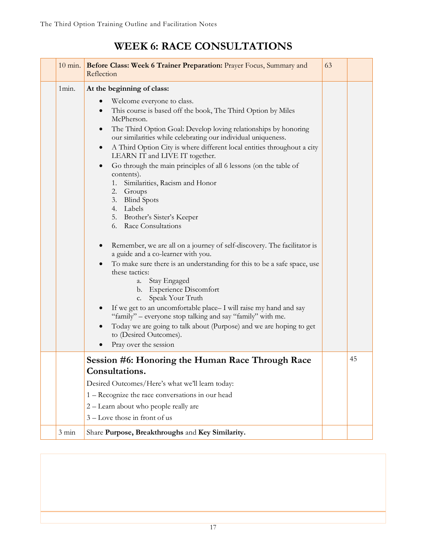| $10 \text{ min.}$ | Before Class: Week 6 Trainer Preparation: Prayer Focus, Summary and<br>Reflection                                                                                                                                                                                                                                                                                                                                                                                                                                                                                                                                                                                                                                                                                                                                                                                                                                                                                                                                                                                                                                                                                                                                                                       | 63 |    |
|-------------------|---------------------------------------------------------------------------------------------------------------------------------------------------------------------------------------------------------------------------------------------------------------------------------------------------------------------------------------------------------------------------------------------------------------------------------------------------------------------------------------------------------------------------------------------------------------------------------------------------------------------------------------------------------------------------------------------------------------------------------------------------------------------------------------------------------------------------------------------------------------------------------------------------------------------------------------------------------------------------------------------------------------------------------------------------------------------------------------------------------------------------------------------------------------------------------------------------------------------------------------------------------|----|----|
| 1min.             | At the beginning of class:<br>Welcome everyone to class.<br>$\bullet$<br>This course is based off the book, The Third Option by Miles<br>$\bullet$<br>McPherson.<br>The Third Option Goal: Develop loving relationships by honoring<br>our similarities while celebrating our individual uniqueness.<br>A Third Option City is where different local entities throughout a city<br>$\bullet$<br>LEARN IT and LIVE IT together.<br>Go through the main principles of all 6 lessons (on the table of<br>$\bullet$<br>contents).<br>Similarities, Racism and Honor<br>1.<br>2. Groups<br><b>Blind Spots</b><br>3.<br>4. Labels<br>5. Brother's Sister's Keeper<br>6. Race Consultations<br>Remember, we are all on a journey of self-discovery. The facilitator is<br>$\bullet$<br>a guide and a co-learner with you.<br>To make sure there is an understanding for this to be a safe space, use<br>these tactics:<br>Stay Engaged<br>a.<br>b. Experience Discomfort<br>Speak Your Truth<br>c.<br>If we get to an uncomfortable place-I will raise my hand and say<br>"family" – everyone stop talking and say "family" with me.<br>Today we are going to talk about (Purpose) and we are hoping to get<br>to (Desired Outcomes).<br>Pray over the session |    |    |
| $3 \text{ min}$   | Session #6: Honoring the Human Race Through Race<br>Consultations.<br>Desired Outcomes/Here's what we'll learn today:<br>1 – Recognize the race conversations in our head<br>2 - Learn about who people really are<br>3 – Love those in front of us<br>Share Purpose, Breakthroughs and Key Similarity.                                                                                                                                                                                                                                                                                                                                                                                                                                                                                                                                                                                                                                                                                                                                                                                                                                                                                                                                                 |    | 45 |
|                   |                                                                                                                                                                                                                                                                                                                                                                                                                                                                                                                                                                                                                                                                                                                                                                                                                                                                                                                                                                                                                                                                                                                                                                                                                                                         |    |    |

## **WEEK 6: RACE CONSULTATIONS**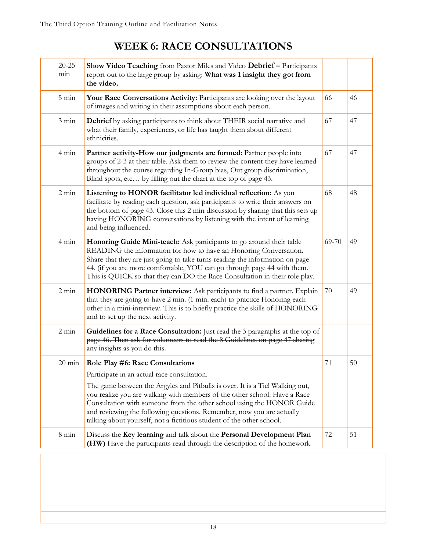## **WEEK 6: RACE CONSULTATIONS**

| $20 - 25$<br>min | Show Video Teaching from Pastor Miles and Video Debrief - Participants<br>report out to the large group by asking: What was 1 insight they got from<br>the video.                                                                                                                                                                                                                                                                                                       |       |    |
|------------------|-------------------------------------------------------------------------------------------------------------------------------------------------------------------------------------------------------------------------------------------------------------------------------------------------------------------------------------------------------------------------------------------------------------------------------------------------------------------------|-------|----|
| $5 \text{ min}$  | Your Race Conversations Activity: Participants are looking over the layout<br>of images and writing in their assumptions about each person.                                                                                                                                                                                                                                                                                                                             | 66    | 46 |
| $3 \text{ min}$  | Debrief by asking participants to think about THEIR social narrative and<br>what their family, experiences, or life has taught them about different<br>ethnicities.                                                                                                                                                                                                                                                                                                     | 67    | 47 |
| $4 \text{ min}$  | Partner activity-How our judgments are formed: Partner people into<br>groups of 2-3 at their table. Ask them to review the content they have learned<br>throughout the course regarding In-Group bias, Out group discrimination,<br>Blind spots, etc by filling out the chart at the top of page 43.                                                                                                                                                                    | 67    | 47 |
| $2 \text{ min}$  | Listening to HONOR facilitator led individual reflection: As you<br>facilitate by reading each question, ask participants to write their answers on<br>the bottom of page 43. Close this 2 min discussion by sharing that this sets up<br>having HONORING conversations by listening with the intent of learning<br>and being influenced.                                                                                                                               | 68    | 48 |
| $4 \text{ min}$  | Honoring Guide Mini-teach: Ask participants to go around their table<br>READING the information for how to have an Honoring Conversation.<br>Share that they are just going to take turns reading the information on page<br>44. (if you are more comfortable, YOU can go through page 44 with them.<br>This is QUICK so that they can DO the Race Consultation in their role play.                                                                                     | 69-70 | 49 |
| $2 \text{ min}$  | HONORING Partner interview: Ask participants to find a partner. Explain<br>that they are going to have 2 min. (1 min. each) to practice Honoring each<br>other in a mini-interview. This is to briefly practice the skills of HONORING<br>and to set up the next activity.                                                                                                                                                                                              | 70    | 49 |
| $2 \text{ min}$  | Guidelines for a Race Consultation: Just read the 3 paragraphs at the top of<br>page 46. Then ask for volunteers to read the 8 Guidelines on page 47 sharing<br>any insights as you do this.                                                                                                                                                                                                                                                                            |       |    |
| $20 \text{ min}$ | Role Play #6: Race Consultations<br>Participate in an actual race consultation.<br>The game between the Argyles and Pitbulls is over. It is a Tie! Walking out,<br>you realize you are walking with members of the other school. Have a Race<br>Consultation with someone from the other school using the HONOR Guide<br>and reviewing the following questions. Remember, now you are actually<br>talking about yourself, not a fictitious student of the other school. | 71    | 50 |
| $8 \text{ min}$  | Discuss the Key learning and talk about the Personal Development Plan<br>(HW) Have the participants read through the description of the homework                                                                                                                                                                                                                                                                                                                        | 72    | 51 |